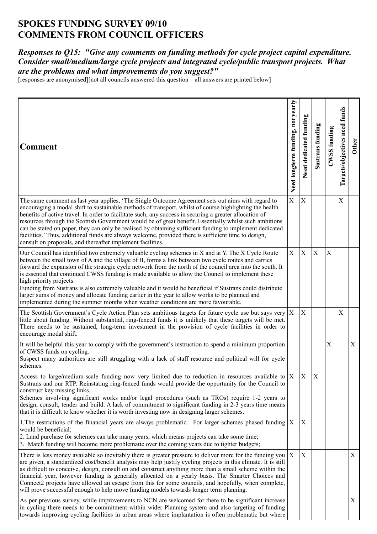## **SPOKES FUNDING SURVEY 09/10 COMMENTS FROM COUNCIL OFFICERS**

## *Responses to Q15: "Give any comments on funding methods for cycle project capital expenditure. Consider small/medium/large cycle projects and integrated cycle/public transport projects. What are the problems and what improvements do you suggest?"*

[responses are anonymised][not all councils answered this question – all answers are printed below]

| <b>Comment</b>                                                                                                                                                                                                                                                                                                                                                                                                                                                                                                                                                                                                                                                                                                                                              | Need longterm funding, not yearly | Need dedicated funding | <b>Sustrans funding</b> | CWSS funding | Targets/objectives need funds | <b>Other</b> |
|-------------------------------------------------------------------------------------------------------------------------------------------------------------------------------------------------------------------------------------------------------------------------------------------------------------------------------------------------------------------------------------------------------------------------------------------------------------------------------------------------------------------------------------------------------------------------------------------------------------------------------------------------------------------------------------------------------------------------------------------------------------|-----------------------------------|------------------------|-------------------------|--------------|-------------------------------|--------------|
| The same comment as last year applies, 'The Single Outcome Agreement sets out aims with regard to<br>encouraging a modal shift to sustainable methods of transport, whilst of course highlighting the health<br>benefits of active travel. In order to facilitate such, any success in securing a greater allocation of<br>resources through the Scottish Government would be of great benefit. Essentially whilst such ambitions<br>can be stated on paper, they can only be realised by obtaining sufficient funding to implement dedicated<br>facilities.' Thus, additional funds are always welcome, provided there is sufficient time to design,<br>consult on proposals, and thereafter implement facilities.                                         | $\mathbf X$                       | X                      |                         |              | $\boldsymbol{\mathrm{X}}$     |              |
| Our Council has identified two extremely valuable cycling schemes in X and at Y. The X Cycle Route<br>between the small town of A and the village of B, forms a link between two cycle routes and carries<br>forward the expansion of the strategic cycle network from the north of the council area into the south. It<br>is essential that continued CWSS funding is made available to allow the Council to implement these<br>high priority projects.<br>Funding from Sustrans is also extremely valuable and it would be beneficial if Sustrans could distribute<br>larger sums of money and allocate funding earlier in the year to allow works to be planned and<br>implemented during the summer months when weather conditions are more favourable. | X                                 | X                      | $\mathbf X$             | X            |                               |              |
| The Scottish Government's Cycle Action Plan sets ambitious targets for future cycle use but says very $ X $<br>little about funding. Without substantial, ring-fenced funds it is unlikely that these targets will be met.<br>There needs to be sustained, long-term investment in the provision of cycle facilities in order to<br>encourage modal shift.                                                                                                                                                                                                                                                                                                                                                                                                  |                                   | X                      |                         |              | X                             |              |
| It will be helpful this year to comply with the government's instruction to spend a minimum proportion<br>of CWSS funds on cycling.<br>Suspect many authorities are still struggling with a lack of staff resource and political will for cycle<br>schemes.                                                                                                                                                                                                                                                                                                                                                                                                                                                                                                 |                                   |                        |                         | X            |                               | X            |
| Access to large/medium-scale funding now very limited due to reduction in resources available to $X$<br>Sustrans and our RTP. Reinstating ring-fenced funds would provide the opportunity for the Council to<br>construct key missing links.<br>Schemes involving significant works and/or legal procedures (such as TROs) require 1-2 years to<br>design, consult, tender and build. A lack of commitment to significant funding in 2-3 years time means<br>that it is difficult to know whether it is worth investing now in designing larger schemes.                                                                                                                                                                                                    |                                   | $\mathbf X$            | X                       |              |                               |              |
| 1. The restrictions of the financial years are always problematic. For larger schemes phased funding $ X $<br>would be beneficial;<br>2. Land purchase for schemes can take many years, which means projects can take some time;<br>3. Match funding will become more problematic over the coming years due to tighter budgets;                                                                                                                                                                                                                                                                                                                                                                                                                             |                                   | X                      |                         |              |                               |              |
| There is less money available so inevitably there is greater pressure to deliver more for the funding you $\vert X \vert$<br>are given, a standardized cost/benefit analysis may help justify cycling projects in this climate. It is still<br>as difficult to conceive, design, consult on and construct anything more than a small scheme within the<br>financial year, however funding is generally allocated on a yearly basis. The Smarter Choices and<br>Connect2 projects have allowed an escape from this for some councils, and hopefully, when complete,<br>will prove successful enough to help move funding models towards longer term planning.                                                                                                |                                   | X                      |                         |              |                               | X            |
| As per previous survey, while improvements to NCN are welcomed for there to be significant increase<br>in cycling there needs to be commitment within wider Planning system and also targeting of funding<br>towards improving cycling facilities in urban areas where implantation is often problematic but where                                                                                                                                                                                                                                                                                                                                                                                                                                          |                                   |                        |                         |              |                               | X            |